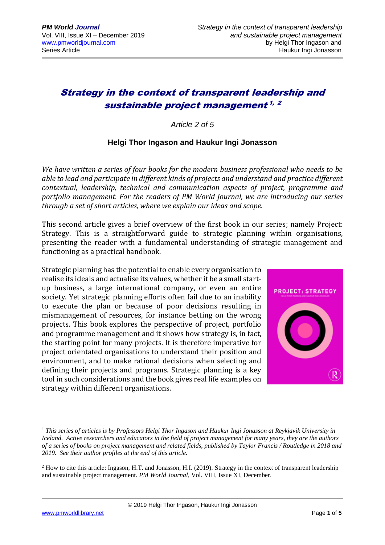# Strategy in the context of transparent leadership and sustainable project management 1, 2

*Article 2 of 5*

#### **Helgi Thor Ingason and Haukur Ingi Jonasson**

*We have written a series of four books for the modern business professional who needs to be able to lead and participate in different kinds of projects and understand and practice different contextual, leadership, technical and communication aspects of project, programme and portfolio management. For the readers of PM World Journal, we are introducing our series through a set of short articles, where we explain our ideas and scope.* 

This second article gives a brief overview of the first book in our series; namely Project: Strategy. This is a straightforward guide to strategic planning within organisations, presenting the reader with a fundamental understanding of strategic management and functioning as a practical handbook.

Strategic planning has the potential to enable every organisation to realise its ideals and actualise its values, whether it be a small startup business, a large international company, or even an entire society. Yet strategic planning efforts often fail due to an inability to execute the plan or because of poor decisions resulting in mismanagement of resources, for instance betting on the wrong projects. This book explores the perspective of project, portfolio and programme management and it shows how strategy is, in fact, the starting point for many projects. It is therefore imperative for project orientated organisations to understand their position and environment, and to make rational decisions when selecting and defining their projects and programs. Strategic planning is a key tool in such considerations and the book gives real life examples on strategy within different organisations.



<sup>1</sup> *This series of articles is by Professors Helgi Thor Ingason and Haukur Ingi Jonasson at Reykjavik University in Iceland. Active researchers and educators in the field of project management for many years, they are the authors of a series of books on project management and related fields, published by Taylor Francis / Routledge in 2018 and 2019. See their author profiles at the end of this article.*

<sup>&</sup>lt;sup>2</sup> How to cite this article: Ingason, H.T. and Jonasson, H.I. (2019). Strategy in the context of transparent leadership and sustainable project management. *PM World Journal*, Vol. VIII, Issue XI, December.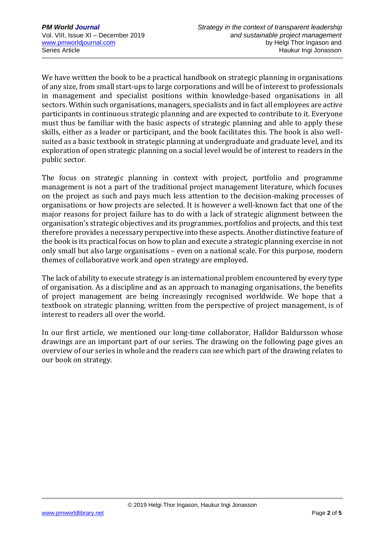We have written the book to be a practical handbook on strategic planning in organisations of any size, from small start-ups to large corporations and will be of interest to professionals in management and specialist positions within knowledge-based organisations in all sectors. Within such organisations, managers, specialists and in fact all employees are active participants in continuous strategic planning and are expected to contribute to it. Everyone must thus be familiar with the basic aspects of strategic planning and able to apply these skills, either as a leader or participant, and the book facilitates this. The book is also wellsuited as a basic textbook in strategic planning at undergraduate and graduate level, and its exploration of open strategic planning on a social level would be of interest to readers in the public sector.

The focus on strategic planning in context with project, portfolio and programme management is not a part of the traditional project management literature, which focuses on the project as such and pays much less attention to the decision-making processes of organisations or how projects are selected. It is however a well-known fact that one of the major reasons for project failure has to do with a lack of strategic alignment between the organisation's strategic objectives and its programmes, portfolios and projects, and this text therefore provides a necessary perspective into these aspects. Another distinctive feature of the book is its practical focus on how to plan and execute a strategic planning exercise in not only small but also large organisations – even on a national scale. For this purpose, modern themes of collaborative work and open strategy are employed.

The lack of ability to execute strategy is an international problem encountered by every type of organisation. As a discipline and as an approach to managing organisations, the benefits of project management are being increasingly recognised worldwide. We hope that a textbook on strategic planning, written from the perspective of project management, is of interest to readers all over the world.

In our first article, we mentioned our long-time collaborator, Halldor Baldursson whose drawings are an important part of our series. The drawing on the following page gives an overview of our series in whole and the readers can see which part of the drawing relates to our book on strategy.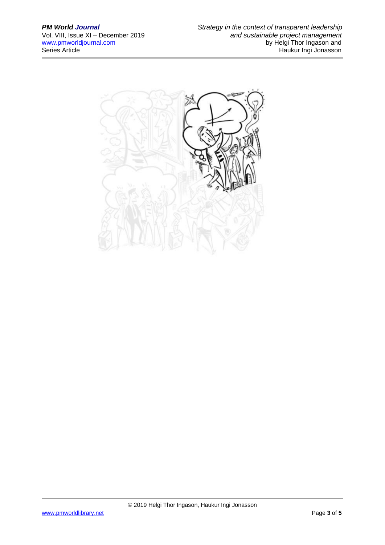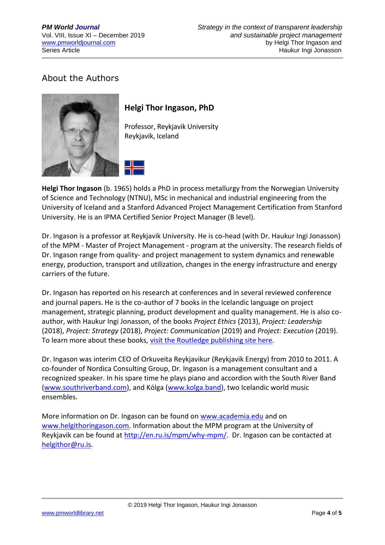## About the Authors



## **Helgi Thor Ingason, PhD**

Professor, Reykjavik University Reykjavik, Iceland



**Helgi Thor Ingason** (b. 1965) holds a PhD in process metallurgy from the Norwegian University of Science and Technology (NTNU), MSc in mechanical and industrial engineering from the University of Iceland and a Stanford Advanced Project Management Certification from Stanford University. He is an IPMA Certified Senior Project Manager (B level).

Dr. Ingason is a professor at Reykjavik University. He is co-head (with Dr. Haukur Ingi Jonasson) of the MPM - Master of Project Management - program at the university. The research fields of Dr. Ingason range from quality- and project management to system dynamics and renewable energy, production, transport and utilization, changes in the energy infrastructure and energy carriers of the future.

Dr. Ingason has reported on his research at conferences and in several reviewed conference and journal papers. He is the co-author of 7 books in the Icelandic language on project management, strategic planning, product development and quality management. He is also coauthor, with Haukur Ingi Jonasson, of the books *Project Ethics* (2013), *Project: Leadership* (2018), *Project: Strategy* (2018), *Project: Communication* (2019) and *Project: Execution* (2019). To learn more about these books, [visit the Routledge publishing site here.](https://www.routledge.com/products/search?keywords=ingason)

Dr. Ingason was interim CEO of Orkuveita Reykjavikur (Reykjavik Energy) from 2010 to 2011. A co-founder of Nordica Consulting Group, Dr. Ingason is a management consultant and a recognized speaker. In his spare time he plays piano and accordion with the South River Band [\(www.southriverband.com\)](http://www.southriverband.com/), and Kólga [\(www.kolga.band\)](http://www.kolga.band/), two Icelandic world music ensembles.

More information on Dr. Ingason can be found on [www.academia.edu](http://www.academia.edu/) and on [www.helgithoringason.com.](http://www.helgithoringason.com/) Information about the MPM program at the University of Reykjavik can be found at [http://en.ru.is/mpm/why-mpm/.](http://en.ru.is/mpm/why-mpm/) Dr. Ingason can be contacted at [helgithor@ru.is.](mailto:helgithor@ru.is)